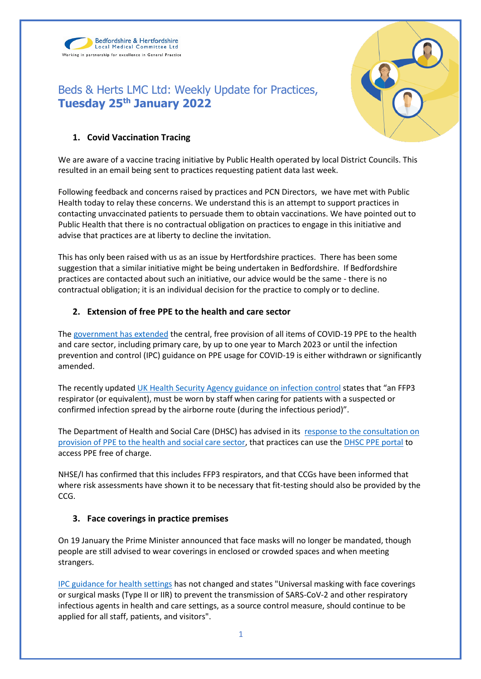Bedfordshire & Hertfordshire Local Medical Committee Ltd Working in partnership for excellence in General Practice





## **1. Covid Vaccination Tracing**

We are aware of a vaccine tracing initiative by Public Health operated by local District Councils. This resulted in an email being sent to practices requesting patient data last week.

Following feedback and concerns raised by practices and PCN Directors, we have met with Public Health today to relay these concerns. We understand this is an attempt to support practices in contacting unvaccinated patients to persuade them to obtain vaccinations. We have pointed out to Public Health that there is no contractual obligation on practices to engage in this initiative and advise that practices are at liberty to decline the invitation.

This has only been raised with us as an issue by Hertfordshire practices. There has been some suggestion that a similar initiative might be being undertaken in Bedfordshire. If Bedfordshire practices are contacted about such an initiative, our advice would be the same - there is no contractual obligation; it is an individual decision for the practice to comply or to decline.

## **2. Extension of free PPE to the health and care sector**

The [government has extended](https://www.gov.uk/government/news/free-ppe-for-frontline-extended-for-another-year) the central, free provision of all items of COVID-19 PPE to the health and care sector, including primary care, by up to one year to March 2023 or until the infection prevention and control (IPC) guidance on PPE usage for COVID-19 is either withdrawn or significantly amended.

The recently updated [UK Health Security Agency guidance on infection control](https://www.gov.uk/government/publications/wuhan-novel-coronavirus-infection-prevention-and-control/covid-19-guidance-for-maintaining-services-within-health-and-care-settings-infection-prevention-and-control-recommendations) states that "an FFP3 respirator (or equivalent), must be worn by staff when caring for patients with a suspected or confirmed infection spread by the airborne route (during the infectious period)".

The Department of Health and Social Care (DHSC) has advised in its [response to the consultation on](https://www.gov.uk/government/consultations/extending-free-ppe-to-the-health-and-care-sector)  [provision of PPE to the health and social care sector,](https://www.gov.uk/government/consultations/extending-free-ppe-to-the-health-and-care-sector) that practices can use the [DHSC PPE portal](https://bma-mail.org.uk/t/JVX-7OSSX-JCJOU4-4OA3HQ-1/c.aspx) to access PPE free of charge.

NHSE/I has confirmed that this includes FFP3 respirators, and that CCGs have been informed that where risk assessments have shown it to be necessary that fit-testing should also be provided by the CCG.

## **3. Face coverings in practice premises**

On 19 January the Prime Minister announced that face masks will no longer be mandated, though people are still advised to wear coverings in enclosed or crowded spaces and when meeting strangers.

[IPC guidance for health settings](https://www.gov.uk/government/publications/wuhan-novel-coronavirus-infection-prevention-and-control/covid-19-guidance-for-maintaining-services-within-health-and-care-settings-infection-prevention-and-control-recommendations) has not changed and states "Universal masking with face coverings or surgical masks (Type II or IIR) to prevent the transmission of SARS-CoV-2 and other respiratory infectious agents in health and care settings, as a source control measure, should continue to be applied for all staff, patients, and visitors".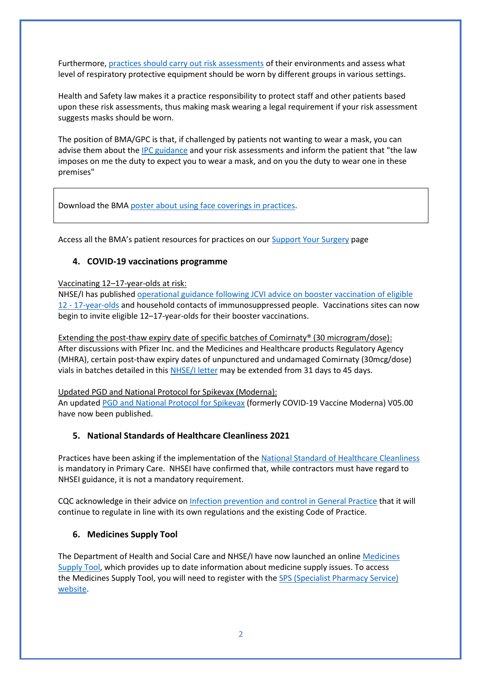Furthermore[, practices should carry out risk assessments](https://i.emlfiles4.com/cmpdoc/3/7/7/5/2/files/868663_ppe-risk-assessment-final.pdf?utm_source=The%20British%20Medical%20Association&utm_medium=email&utm_campaign=12917145_GP%20ENEWSLETTER%2013012022&dm_t=0,0,0,0,0) of their environments and assess what level of respiratory protective equipment should be worn by different groups in various settings.

Health and Safety law makes it a practice responsibility to protect staff and other patients based upon these risk assessments, thus making mask wearing a legal requirement if your risk assessment suggests masks should be worn.

The position of BMA/GPC is that, if challenged by patients not wanting to wear a mask, you can advise them about the [IPC guidance](https://www.gov.uk/government/publications/wuhan-novel-coronavirus-infection-prevention-and-control/covid-19-guidance-for-maintaining-services-within-health-and-care-settings-infection-prevention-and-control-recommendations) and your risk assessments and inform the patient that "the law imposes on me the duty to expect you to wear a mask, and on you the duty to wear one in these premises"

Download the BMA [poster about using face coverings in practices.](https://www.bma.org.uk/media/4545/bma-visiting-your-gp-poster-england-sept-2021.pdf)

Access all the BMA's patient resources for practices on ou[r Support Your Surgery](https://www.bma.org.uk/supportyoursurgery) page

## **4. COVID-19 vaccinations programme**

#### Vaccinating 12–17-year-olds at risk:

NHSE/I has published [operational guidance following JCVI advice on booster vaccination of eligible](https://future.nhs.uk/P_C_N/view?objectId=122175685)  12 - [17-year-olds](https://future.nhs.uk/P_C_N/view?objectId=122175685) and household contacts of immunosuppressed people. Vaccinations sites can now begin to invite eligible 12–17-year-olds for their booster vaccinations.

Extending the post-thaw expiry date of specific batches of Comirnaty® (30 microgram/dose): After discussions with Pfizer Inc. and the Medicines and Healthcare products Regulatory Agency (MHRA), certain post-thaw expiry dates of unpunctured and undamaged Comirnaty (30mcg/dose) vials in batches detailed in this [NHSE/I letter](https://www.england.nhs.uk/coronavirus/publication/extending-the-post-thaw-expiry-date-of-specific-batches-of-comirnaty-30-microgram-dose-for-adults-and-adolescents/) may be extended from 31 days to 45 days.

Updated PGD and National Protocol for Spikevax (Moderna):

An update[d PGD and National Protocol for Spikevax](https://www.gov.uk/government/collections/covid-19-vaccination-programme#protocols-and-patient-group-directions-(pgds)) (formerly COVID-19 Vaccine Moderna) V05.00 have now been published.

## **5. National Standards of Healthcare Cleanliness 2021**

Practices have been asking if the implementation of the [National Standard of Healthcare Cleanliness](https://www.england.nhs.uk/wp-content/uploads/2021/04/B0271-national-standards-of-healthcare-cleanliness-2021.pdf) is mandatory in Primary Care. NHSEI have confirmed that, while contractors must have regard to NHSEI guidance, it is not a mandatory requirement.

CQC acknowledge in their advice o[n Infection prevention and control in General Practice](https://emea01.safelinks.protection.outlook.com/?url=https%3A%2F%2Fwww.cqc.org.uk%2Fguidance-providers%2Fgps%2Fgp-mythbuster-99-infection-prevention-control-general-practice&data=04%7C01%7C%7C6c62471cabdd4323be4a08d9d689ab66%7C84df9e7fe9f640afb435aaaaaaaaaaaa%7C1%7C0%7C637776709046054237%7CUnknown%7CTWFpbGZsb3d8eyJWIjoiMC4wLjAwMDAiLCJQIjoiV2luMzIiLCJBTiI6Ik1haWwiLCJXVCI6Mn0%3D%7C3000&sdata=T2PwzSYXn5yCsBbQ1%2FlUcOveAnhjqN1wjZHvopAJqH8%3D&reserved=0) that it will continue to regulate in line with its own regulations and the existing Code of Practice.

## **6. Medicines Supply Tool**

The Department of Health and Social Care and NHSE/I have now launched an online [Medicines](https://protect-eu.mimecast.com/s/cqeHCN0JJt0kJjvfmdepa?domain=sps.nhs.uk/)  [Supply Tool,](https://protect-eu.mimecast.com/s/cqeHCN0JJt0kJjvfmdepa?domain=sps.nhs.uk/) which provides up to date information about medicine supply issues. To access the Medicines Supply Tool, you will need to register with th[e SPS \(Specialist Pharmacy Service\)](https://protect-eu.mimecast.com/s/gMEbCO8KKHp1lvqHvE0GJ?domain=sps.nhs.uk/)  [website.](https://protect-eu.mimecast.com/s/gMEbCO8KKHp1lvqHvE0GJ?domain=sps.nhs.uk/)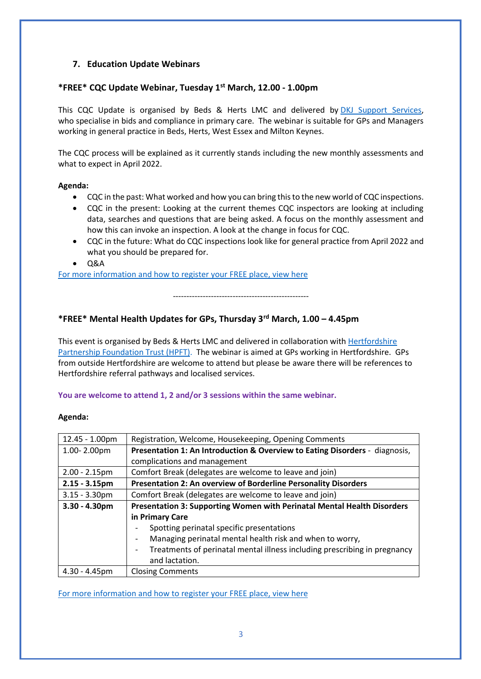# **7. Education Update Webinars**

### **\*FREE\* CQC Update Webinar, Tuesday 1st March, 12.00 - 1.00pm**

This CQC Update is organised by Beds & Herts LMC and delivered by [DKJ Support Services,](https://dkjsupportservices.co.uk/) who specialise in bids and compliance in primary care. The webinar is suitable for GPs and Managers working in general practice in Beds, Herts, West Essex and Milton Keynes.

The CQC process will be explained as it currently stands including the new monthly assessments and what to expect in April 2022.

#### **Agenda:**

- CQC in the past: What worked and how you can bring this to the new world of CQC inspections.
- CQC in the present: Looking at the current themes CQC inspectors are looking at including data, searches and questions that are being asked. A focus on the monthly assessment and how this can invoke an inspection. A look at the change in focus for CQC.
- CQC in the future: What do CQC inspections look like for general practice from April 2022 and what you should be prepared for.
- Q&A

[For more information and how to register your FREE place, view here](https://forms.office.com/Pages/ResponsePage.aspx?id=rjrCtdIatUuj5kogTb6MHYPGDtvwfSpEli2XzUgoH3tUNEdMUjBESFVKRTJJVzVMWThSMlYwUTJaRi4u)

--------------------------------------------------

## **\*FREE\* Mental Health Updates for GPs, Thursday 3rd March, 1.00 – 4.45pm**

This event is organised by Beds & Herts LMC and delivered in collaboration with [Hertfordshire](https://www.hpft.nhs.uk/)  [Partnership Foundation Trust \(HPFT\).](https://www.hpft.nhs.uk/) The webinar is aimed at GPs working in Hertfordshire. GPs from outside Hertfordshire are welcome to attend but please be aware there will be references to Hertfordshire referral pathways and localised services.

**You are welcome to attend 1, 2 and/or 3 sessions within the same webinar.**

#### **Agenda:**

| 12.45 - 1.00pm   | Registration, Welcome, Housekeeping, Opening Comments                          |
|------------------|--------------------------------------------------------------------------------|
| 1.00-2.00pm      | Presentation 1: An Introduction & Overview to Eating Disorders - diagnosis,    |
|                  | complications and management                                                   |
| $2.00 - 2.15$ pm | Comfort Break (delegates are welcome to leave and join)                        |
| $2.15 - 3.15$ pm | Presentation 2: An overview of Borderline Personality Disorders                |
| $3.15 - 3.30$ pm | Comfort Break (delegates are welcome to leave and join)                        |
| $3.30 - 4.30$ pm | Presentation 3: Supporting Women with Perinatal Mental Health Disorders        |
|                  | in Primary Care                                                                |
|                  | Spotting perinatal specific presentations                                      |
|                  | Managing perinatal mental health risk and when to worry,<br>-                  |
|                  | Treatments of perinatal mental illness including prescribing in pregnancy<br>- |
|                  | and lactation.                                                                 |
| $4.30 - 4.45$ pm | <b>Closing Comments</b>                                                        |

[For more information and how to register your FREE place, view here](https://forms.office.com/Pages/ResponsePage.aspx?id=rjrCtdIatUuj5kogTb6MHYPGDtvwfSpEli2XzUgoH3tUNTVLMDJWMlozSThENDVZWVY1T000SVFLWS4u)